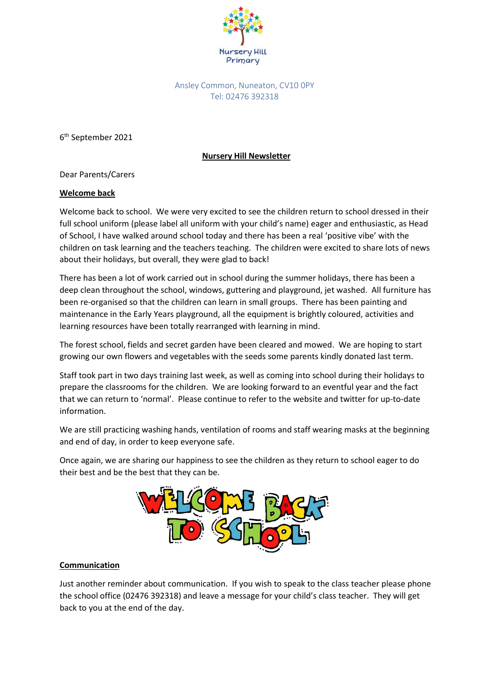

Ansley Common, Nuneaton, CV10 0PY Tel: 02476 392318

6 th September 2021

## **Nursery Hill Newsletter**

Dear Parents/Carers

## **Welcome back**

Welcome back to school. We were very excited to see the children return to school dressed in their full school uniform (please label all uniform with your child's name) eager and enthusiastic, as Head of School, I have walked around school today and there has been a real 'positive vibe' with the children on task learning and the teachers teaching. The children were excited to share lots of news about their holidays, but overall, they were glad to back!

There has been a lot of work carried out in school during the summer holidays, there has been a deep clean throughout the school, windows, guttering and playground, jet washed. All furniture has been re-organised so that the children can learn in small groups. There has been painting and maintenance in the Early Years playground, all the equipment is brightly coloured, activities and learning resources have been totally rearranged with learning in mind.

The forest school, fields and secret garden have been cleared and mowed. We are hoping to start growing our own flowers and vegetables with the seeds some parents kindly donated last term.

Staff took part in two days training last week, as well as coming into school during their holidays to prepare the classrooms for the children. We are looking forward to an eventful year and the fact that we can return to 'normal'. Please continue to refer to the website and twitter for up-to-date information.

We are still practicing washing hands, ventilation of rooms and staff wearing masks at the beginning and end of day, in order to keep everyone safe.

Once again, we are sharing our happiness to see the children as they return to school eager to do their best and be the best that they can be.



## **Communication**

Just another reminder about communication. If you wish to speak to the class teacher please phone the school office (02476 392318) and leave a message for your child's class teacher. They will get back to you at the end of the day.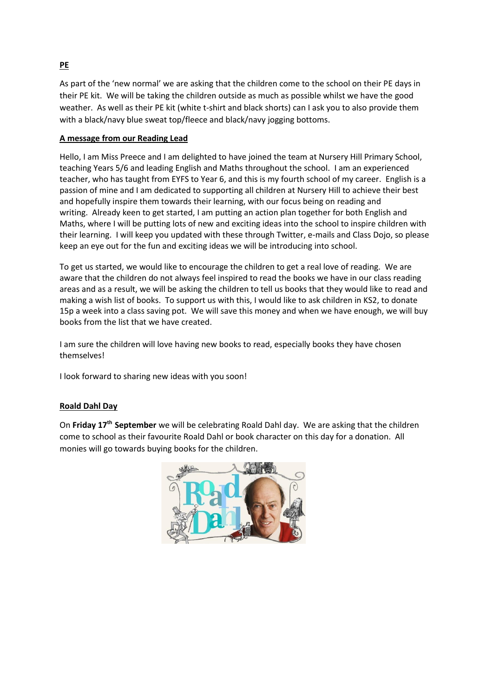# **A message from our Reading Lead**

Hello, I am Miss Preece and I am delighted to have joined the team at Nursery Hill Primary School, teaching Years 5/6 and leading English and Maths throughout the school. I am an experienced teacher, who has taught from EYFS to Year 6, and this is my fourth school of my career. English is a passion of mine and I am dedicated to supporting all children at Nursery Hill to achieve their best and hopefully inspire them towards their learning, with our focus being on reading and writing. Already keen to get started, I am putting an action plan together for both English and Maths, where I will be putting lots of new and exciting ideas into the school to inspire children with their learning. I will keep you updated with these through Twitter, e-mails and Class Dojo, so please keep an eye out for the fun and exciting ideas we will be introducing into school.

As part of the 'new normal' we are asking that the children come to the school on their PE days in their PE kit. We will be taking the children outside as much as possible whilst we have the good weather. As well as their PE kit (white t-shirt and black shorts) can I ask you to also provide them

with a black/navy blue sweat top/fleece and black/navy jogging bottoms.

To get us started, we would like to encourage the children to get a real love of reading. We are aware that the children do not always feel inspired to read the books we have in our class reading areas and as a result, we will be asking the children to tell us books that they would like to read and making a wish list of books. To support us with this, I would like to ask children in KS2, to donate 15p a week into a class saving pot. We will save this money and when we have enough, we will buy books from the list that we have created.

I am sure the children will love having new books to read, especially books they have chosen themselves!

I look forward to sharing new ideas with you soon!

### **Roald Dahl Day**

On **Friday 17th September** we will be celebrating Roald Dahl day. We are asking that the children come to school as their favourite Roald Dahl or book character on this day for a donation. All monies will go towards buying books for the children.



# **PE**